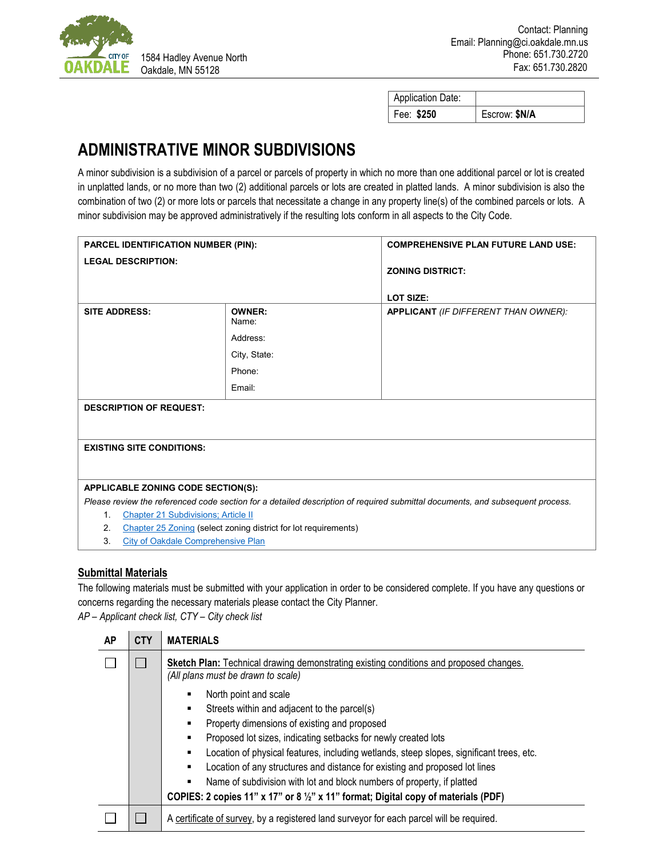

| Application Date: |               |
|-------------------|---------------|
| Fee: \$250        | Escrow: \$N/A |

## **ADMINISTRATIVE MINOR SUBDIVISIONS**

A minor subdivision is a subdivision of a parcel or parcels of property in which no more than one additional parcel or lot is created in unplatted lands, or no more than two (2) additional parcels or lots are created in platted lands. A minor subdivision is also the combination of two (2) or more lots or parcels that necessitate a change in any property line(s) of the combined parcels or lots. A minor subdivision may be approved administratively if the resulting lots conform in all aspects to the City Code.

| PARCEL IDENTIFICATION NUMBER (PIN):                                   |                                                              | <b>COMPREHENSIVE PLAN FUTURE LAND USE:</b>                                                                                    |  |  |
|-----------------------------------------------------------------------|--------------------------------------------------------------|-------------------------------------------------------------------------------------------------------------------------------|--|--|
| <b>LEGAL DESCRIPTION:</b>                                             |                                                              | <b>ZONING DISTRICT:</b><br><b>LOT SIZE:</b>                                                                                   |  |  |
| <b>SITE ADDRESS:</b>                                                  | <b>OWNER:</b><br>Name:<br>Address:<br>City, State:<br>Phone: | <b>APPLICANT</b> (IF DIFFERENT THAN OWNER):                                                                                   |  |  |
|                                                                       | Email:                                                       |                                                                                                                               |  |  |
| <b>DESCRIPTION OF REQUEST:</b>                                        |                                                              |                                                                                                                               |  |  |
| <b>EXISTING SITE CONDITIONS:</b>                                      |                                                              |                                                                                                                               |  |  |
| APPLICABLE ZONING CODE SECTION(S):                                    |                                                              |                                                                                                                               |  |  |
|                                                                       |                                                              | Please review the referenced code section for a detailed description of required submittal documents, and subsequent process. |  |  |
| <b>Chapter 21 Subdivisions; Article II</b><br>1 <sub>1</sub>          |                                                              |                                                                                                                               |  |  |
| Chapter 25 Zoning (select zoning district for lot requirements)<br>2. |                                                              |                                                                                                                               |  |  |

3. [City of Oakdale Comprehensive Plan](https://www.ci.oakdale.mn.us/201/Comprehensive-Plan)

## **Submittal Materials**

The following materials must be submitted with your application in order to be considered complete. If you have any questions or concerns regarding the necessary materials please contact the City Planner. *AP – Applicant check list, CTY – City check list*

| <b>AP</b> | <b>CTY</b> | <b>MATERIALS</b>                                                                                                             |  |
|-----------|------------|------------------------------------------------------------------------------------------------------------------------------|--|
|           |            | Sketch Plan: Technical drawing demonstrating existing conditions and proposed changes.<br>(All plans must be drawn to scale) |  |
|           |            | North point and scale                                                                                                        |  |
|           |            | Streets within and adjacent to the parcel(s)<br>٠                                                                            |  |
|           |            | Property dimensions of existing and proposed<br>٠                                                                            |  |
|           |            | Proposed lot sizes, indicating setbacks for newly created lots<br>٠                                                          |  |
|           |            | Location of physical features, including wetlands, steep slopes, significant trees, etc.<br>٠                                |  |
|           |            | Location of any structures and distance for existing and proposed lot lines<br>٠                                             |  |
|           |            | Name of subdivision with lot and block numbers of property, if platted<br>٠                                                  |  |
|           |            | COPIES: 2 copies 11" x 17" or 8 1/2" x 11" format; Digital copy of materials (PDF)                                           |  |
|           |            | A certificate of survey, by a registered land surveyor for each parcel will be required.                                     |  |